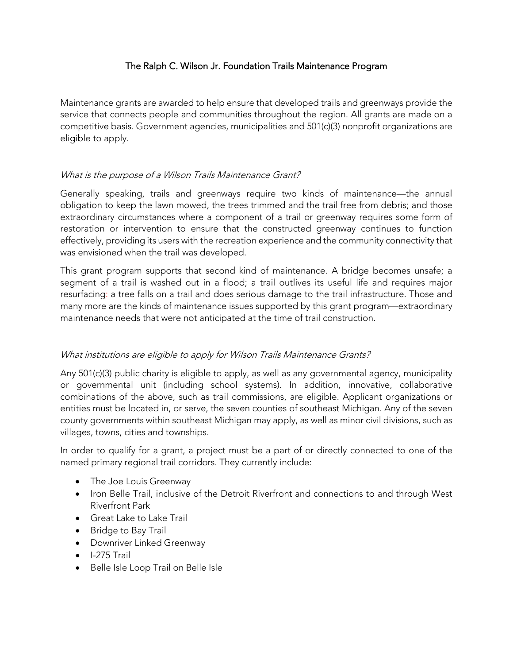# The Ralph C. Wilson Jr. Foundation Trails Maintenance Program

Maintenance grants are awarded to help ensure that developed trails and greenways provide the service that connects people and communities throughout the region. All grants are made on a competitive basis. Government agencies, municipalities and 501(c)(3) nonprofit organizations are eligible to apply.

# What is the purpose of a Wilson Trails Maintenance Grant?

Generally speaking, trails and greenways require two kinds of maintenance—the annual obligation to keep the lawn mowed, the trees trimmed and the trail free from debris; and those extraordinary circumstances where a component of a trail or greenway requires some form of restoration or intervention to ensure that the constructed greenway continues to function effectively, providing its users with the recreation experience and the community connectivity that was envisioned when the trail was developed.

This grant program supports that second kind of maintenance. A bridge becomes unsafe; a segment of a trail is washed out in a flood; a trail outlives its useful life and requires major resurfacing: a tree falls on a trail and does serious damage to the trail infrastructure. Those and many more are the kinds of maintenance issues supported by this grant program—extraordinary maintenance needs that were not anticipated at the time of trail construction.

# What institutions are eligible to apply for Wilson Trails Maintenance Grants?

Any 501(c)(3) public charity is eligible to apply, as well as any governmental agency, municipality or governmental unit (including school systems). In addition, innovative, collaborative combinations of the above, such as trail commissions, are eligible. Applicant organizations or entities must be located in, or serve, the seven counties of southeast Michigan. Any of the seven county governments within southeast Michigan may apply, as well as minor civil divisions, such as villages, towns, cities and townships.

In order to qualify for a grant, a project must be a part of or directly connected to one of the named primary regional trail corridors. They currently include:

- The Joe Louis Greenway
- Iron Belle Trail, inclusive of the Detroit Riverfront and connections to and through West Riverfront Park
- Great Lake to Lake Trail
- Bridge to Bay Trail
- Downriver Linked Greenway
- I-275 Trail
- Belle Isle Loop Trail on Belle Isle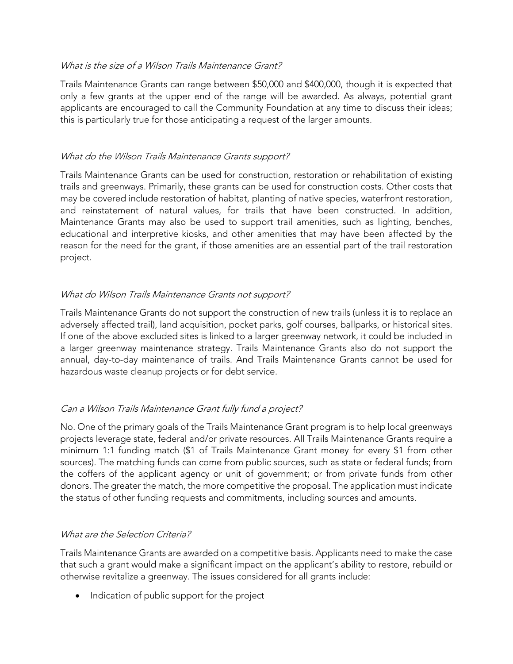### What is the size of a Wilson Trails Maintenance Grant?

Trails Maintenance Grants can range between \$50,000 and \$400,000, though it is expected that only a few grants at the upper end of the range will be awarded. As always, potential grant applicants are encouraged to call the Community Foundation at any time to discuss their ideas; this is particularly true for those anticipating a request of the larger amounts.

# What do the Wilson Trails Maintenance Grants support?

Trails Maintenance Grants can be used for construction, restoration or rehabilitation of existing trails and greenways. Primarily, these grants can be used for construction costs. Other costs that may be covered include restoration of habitat, planting of native species, waterfront restoration, and reinstatement of natural values, for trails that have been constructed. In addition, Maintenance Grants may also be used to support trail amenities, such as lighting, benches, educational and interpretive kiosks, and other amenities that may have been affected by the reason for the need for the grant, if those amenities are an essential part of the trail restoration project.

### What do Wilson Trails Maintenance Grants not support?

Trails Maintenance Grants do not support the construction of new trails (unless it is to replace an adversely affected trail), land acquisition, pocket parks, golf courses, ballparks, or historical sites. If one of the above excluded sites is linked to a larger greenway network, it could be included in a larger greenway maintenance strategy. Trails Maintenance Grants also do not support the annual, day-to-day maintenance of trails. And Trails Maintenance Grants cannot be used for hazardous waste cleanup projects or for debt service.

# Can a Wilson Trails Maintenance Grant fully fund a project?

No. One of the primary goals of the Trails Maintenance Grant program is to help local greenways projects leverage state, federal and/or private resources. All Trails Maintenance Grants require a minimum 1:1 funding match (\$1 of Trails Maintenance Grant money for every \$1 from other sources). The matching funds can come from public sources, such as state or federal funds; from the coffers of the applicant agency or unit of government; or from private funds from other donors. The greater the match, the more competitive the proposal. The application must indicate the status of other funding requests and commitments, including sources and amounts.

# What are the Selection Criteria?

Trails Maintenance Grants are awarded on a competitive basis. Applicants need to make the case that such a grant would make a significant impact on the applicant's ability to restore, rebuild or otherwise revitalize a greenway. The issues considered for all grants include:

• Indication of public support for the project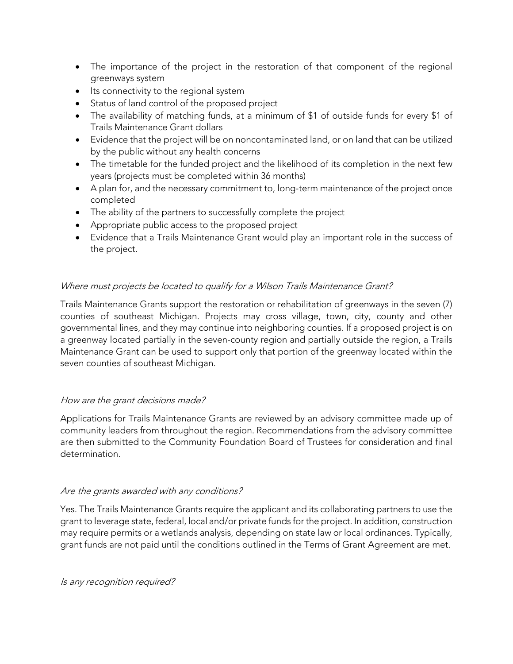- The importance of the project in the restoration of that component of the regional greenways system
- Its connectivity to the regional system
- Status of land control of the proposed project
- The availability of matching funds, at a minimum of \$1 of outside funds for every \$1 of Trails Maintenance Grant dollars
- Evidence that the project will be on noncontaminated land, or on land that can be utilized by the public without any health concerns
- The timetable for the funded project and the likelihood of its completion in the next few years (projects must be completed within 36 months)
- A plan for, and the necessary commitment to, long-term maintenance of the project once completed
- The ability of the partners to successfully complete the project
- Appropriate public access to the proposed project
- Evidence that a Trails Maintenance Grant would play an important role in the success of the project.

# Where must projects be located to qualify for a Wilson Trails Maintenance Grant?

Trails Maintenance Grants support the restoration or rehabilitation of greenways in the seven (7) counties of southeast Michigan. Projects may cross village, town, city, county and other governmental lines, and they may continue into neighboring counties. If a proposed project is on a greenway located partially in the seven-county region and partially outside the region, a Trails Maintenance Grant can be used to support only that portion of the greenway located within the seven counties of southeast Michigan.

# How are the grant decisions made?

Applications for Trails Maintenance Grants are reviewed by an advisory committee made up of community leaders from throughout the region. Recommendations from the advisory committee are then submitted to the Community Foundation Board of Trustees for consideration and final determination.

# Are the grants awarded with any conditions?

Yes. The Trails Maintenance Grants require the applicant and its collaborating partners to use the grant to leverage state, federal, local and/or private funds for the project. In addition, construction may require permits or a wetlands analysis, depending on state law or local ordinances. Typically, grant funds are not paid until the conditions outlined in the Terms of Grant Agreement are met.

Is any recognition required?